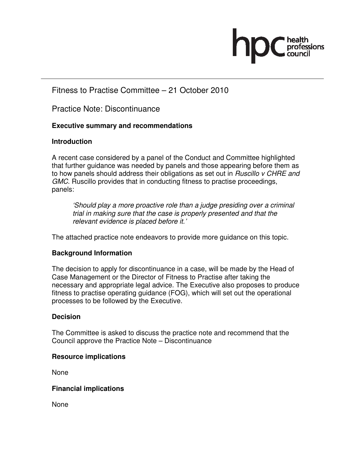

## Fitness to Practise Committee – 21 October 2010

Practice Note: Discontinuance

## **Executive summary and recommendations**

## **Introduction**

A recent case considered by a panel of the Conduct and Committee highlighted that further guidance was needed by panels and those appearing before them as to how panels should address their obligations as set out in Ruscillo v CHRE and GMC. Ruscillo provides that in conducting fitness to practise proceedings, panels:

'Should play a more proactive role than a judge presiding over a criminal trial in making sure that the case is properly presented and that the relevant evidence is placed before it.'

The attached practice note endeavors to provide more guidance on this topic.

## **Background Information**

The decision to apply for discontinuance in a case, will be made by the Head of Case Management or the Director of Fitness to Practise after taking the necessary and appropriate legal advice. The Executive also proposes to produce fitness to practise operating guidance (FOG), which will set out the operational processes to be followed by the Executive.

## **Decision**

The Committee is asked to discuss the practice note and recommend that the Council approve the Practice Note – Discontinuance

## **Resource implications**

None

## **Financial implications**

None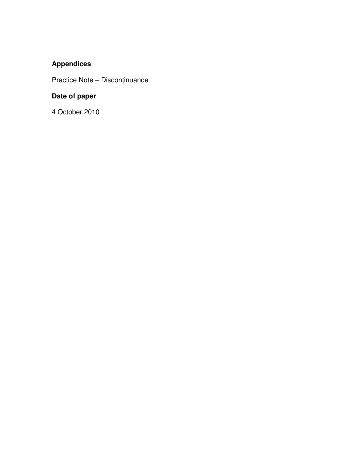## **Appendices**

Practice Note – Discontinuance

## **Date of paper**

4 October 2010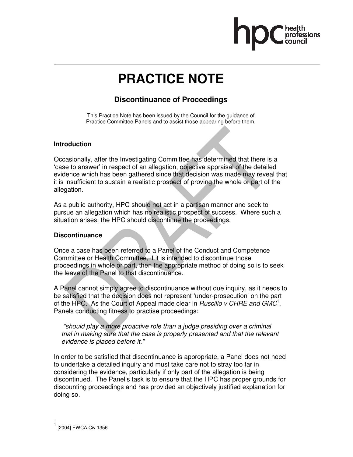

# **PRACTICE NOTE**

## **Discontinuance of Proceedings**

This Practice Note has been issued by the Council for the guidance of Practice Committee Panels and to assist those appearing before them.

### **Introduction**

Occasionally, after the Investigating Committee has determined that there is a 'case to answer' in respect of an allegation, objective appraisal of the detailed evidence which has been gathered since that decision was made may reveal that it is insufficient to sustain a realistic prospect of proving the whole or part of the allegation.

As a public authority, HPC should not act in a partisan manner and seek to pursue an allegation which has no realistic prospect of success. Where such a situation arises, the HPC should discontinue the proceedings.

## **Discontinuance**

Once a case has been referred to a Panel of the Conduct and Competence Committee or Health Committee, if it is intended to discontinue those proceedings in whole or part, then the appropriate method of doing so is to seek the leave of the Panel to that discontinuance.

A Panel cannot simply agree to discontinuance without due inquiry, as it needs to be satisfied that the decision does not represent 'under-prosecution' on the part of the HPC. As the Court of Appeal made clear in Ruscillo  $v$  CHRE and GMC<sup>1</sup>, Panels conducting fitness to practise proceedings:

 "should play a more proactive role than a judge presiding over a criminal trial in making sure that the case is properly presented and that the relevant evidence is placed before it."

In order to be satisfied that discontinuance is appropriate, a Panel does not need to undertake a detailed inquiry and must take care not to stray too far in considering the evidence, particularly if only part of the allegation is being discontinued. The Panel's task is to ensure that the HPC has proper grounds for discounting proceedings and has provided an objectively justified explanation for doing so.

 $\overline{a}$ 

<sup>1</sup> [2004] EWCA Civ 1356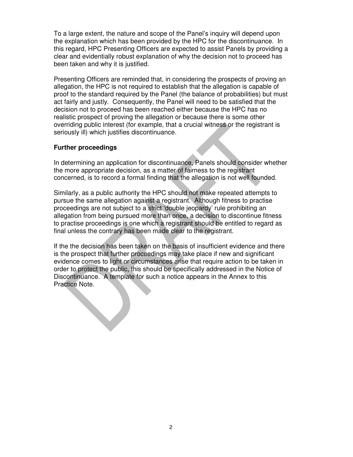To a large extent, the nature and scope of the Panel's inquiry will depend upon the explanation which has been provided by the HPC for the discontinuance. In this regard, HPC Presenting Officers are expected to assist Panels by providing a clear and evidentially robust explanation of why the decision not to proceed has been taken and why it is justified.

Presenting Officers are reminded that, in considering the prospects of proving an allegation, the HPC is not required to establish that the allegation is capable of proof to the standard required by the Panel (the balance of probabilities) but must act fairly and justly. Consequently, the Panel will need to be satisfied that the decision not to proceed has been reached either because the HPC has no realistic prospect of proving the allegation or because there is some other overriding public interest (for example, that a crucial witness or the registrant is seriously ill) which justifies discontinuance.

#### **Further proceedings**

In determining an application for discontinuance, Panels should consider whether the more appropriate decision, as a matter of fairness to the registrant concerned, is to record a formal finding that the allegation is not well founded.

Similarly, as a public authority the HPC should not make repeated attempts to pursue the same allegation against a registrant. Although fitness to practise proceedings are not subject to a strict 'double jeopardy' rule prohibiting an allegation from being pursued more than once, a decision to discontinue fitness to practise proceedings is one which a registrant should be entitled to regard as final unless the contrary has been made clear to the registrant.

If the the decision has been taken on the basis of insufficient evidence and there is the prospect that further proceedings may take place if new and significant evidence comes to light or circumstances arise that require action to be taken in order to protect the public, this should be specifically addressed in the Notice of Discontinuance. A template for such a notice appears in the Annex to this Practice Note.